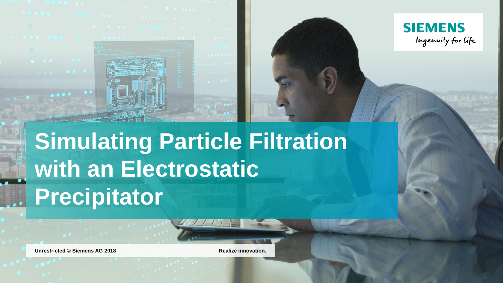



# **Simulating Particle Filtration with an Electrostatic Precipitator**

**Unrestricted © Siemens AG 2018 Realize innovation.**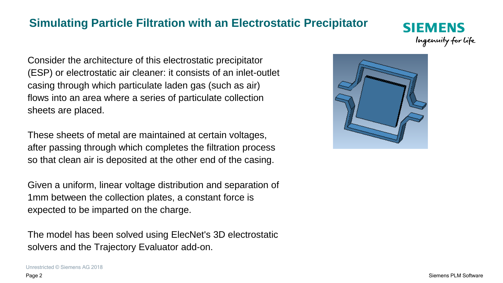# **Simulating Particle Filtration with an Electrostatic Precipitator**

Consider the architecture of this electrostatic precipitator (ESP) or electrostatic air cleaner: it consists of an inlet-outlet casing through which particulate laden gas (such as air) flows into an area where a series of particulate collection sheets are placed.

These sheets of metal are maintained at certain voltages, after passing through which completes the filtration process so that clean air is deposited at the other end of the casing.

Given a uniform, linear voltage distribution and separation of 1mm between the collection plates, a constant force is expected to be imparted on the charge.

The model has been solved using ElecNet's 3D electrostatic solvers and the Trajectory Evaluator add-on.



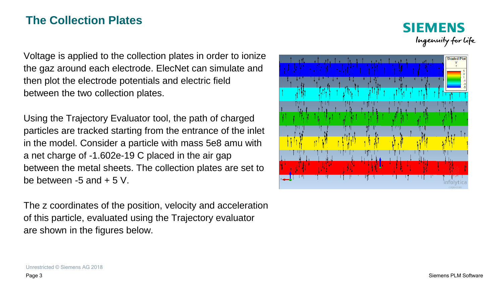# **The Collection Plates**



Voltage is applied to the collection plates in order to ionize the gaz around each electrode. ElecNet can simulate and then plot the electrode potentials and electric field between the two collection plates.

Using the Trajectory Evaluator tool, the path of charged particles are tracked starting from the entrance of the inlet in the model. Consider a particle with mass 5e8 amu with a net charge of -1.602e-19 C placed in the air gap between the metal sheets. The collection plates are set to be between  $-5$  and  $+5$  V.

The z coordinates of the position, velocity and acceleration of this particle, evaluated using the Trajectory evaluator are shown in the figures below.



Unrestricted © Siemens AG 2018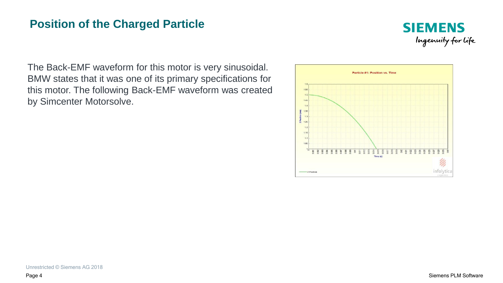#### **Position of the Charged Particle**



The Back-EMF waveform for this motor is very sinusoidal. BMW states that it was one of its primary specifications for this motor. The following Back-EMF waveform was created by Simcenter Motorsolve.

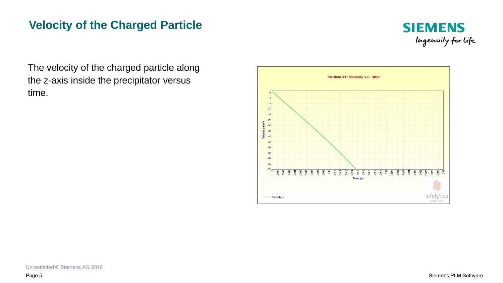# **Velocity of the Charged Particle**



The velocity of the charged particle along the z-axis inside the precipitator versus time.

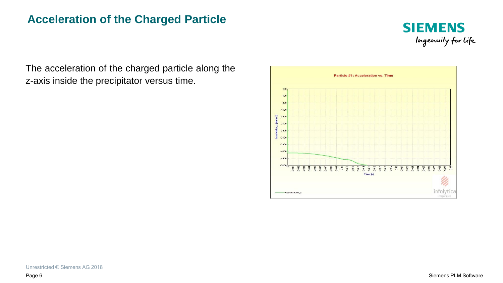#### **Acceleration of the Charged Particle**



The acceleration of the charged particle along the z-axis inside the precipitator versus time.